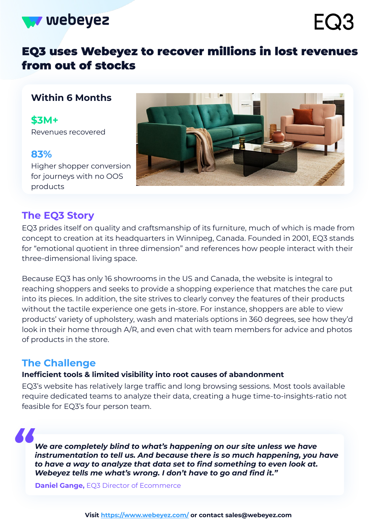

# EQ3 uses Webeyez to recover millions in lost revenues from out of stocks

### **Within 6 Months**

**\$3M+** Revenues recovered

### **83%**

Higher shopper conversion for journeys with no OOS products



# **The EQ3 Story**

EQ3 prides itself on quality and craftsmanship of its furniture, much of which is made from concept to creation at its headquarters in Winnipeg, Canada. Founded in 2001, EQ3 stands for "emotional quotient in three dimension" and references how people interact with their three-dimensional living space.

Because EQ3 has only 16 showrooms in the US and Canada, the website is integral to reaching shoppers and seeks to provide a shopping experience that matches the care put into its pieces. In addition, the site strives to clearly convey the features of their products without the tactile experience one gets in-store. For instance, shoppers are able to view products' variety of upholstery, wash and materials options in 360 degrees, see how they'd look in their home through A/R, and even chat with team members for advice and photos of products in the store.

## **The Challenge**

#### **Inefficient tools & limited visibility into root causes of abandonment**

EQ3's website has relatively large traffic and long browsing sessions. Most tools available require dedicated teams to analyze their data, creating a huge time-to-insights-ratio not feasible for EQ3's four person team.

*We are completely blind to what's happening on our site unless we have instrumentation to tell us. And because there is so much happening, you have to have a way to analyze that data set to find something to even look at. Webeyez tells me what's wrong. I don't have to go and find it." "*

**Daniel Gange,** EQ3 Director of Ecommerce